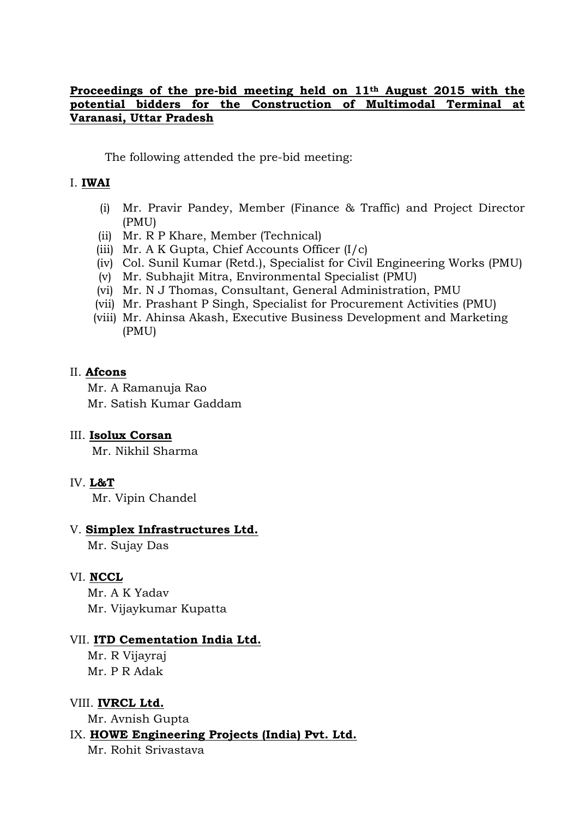## **Proceedings of the pre-bid meeting held on 11th August 2015 with the potential bidders for the Construction of Multimodal Terminal at Varanasi, Uttar Pradesh**

The following attended the pre-bid meeting:

#### I. **IWAI**

- (i) Mr. Pravir Pandey, Member (Finance & Traffic) and Project Director (PMU)
- (ii) Mr. R P Khare, Member (Technical)
- (iii) Mr. A K Gupta, Chief Accounts Officer (I/c)
- (iv) Col. Sunil Kumar (Retd.), Specialist for Civil Engineering Works (PMU)
- (v) Mr. Subhajit Mitra, Environmental Specialist (PMU)
- (vi) Mr. N J Thomas, Consultant, General Administration, PMU
- (vii) Mr. Prashant P Singh, Specialist for Procurement Activities (PMU)
- (viii) Mr. Ahinsa Akash, Executive Business Development and Marketing (PMU)

#### II. **Afcons**

Mr. A Ramanuja Rao

Mr. Satish Kumar Gaddam

#### III. **Isolux Corsan**

Mr. Nikhil Sharma

## IV. **L&T**

Mr. Vipin Chandel

#### V. **Simplex Infrastructures Ltd.**

Mr. Sujay Das

## VI. **NCCL**

Mr. A K Yadav Mr. Vijaykumar Kupatta

#### VII. **ITD Cementation India Ltd.**

Mr. R Vijayraj Mr. P R Adak

#### VIII. **IVRCL Ltd.**

Mr. Avnish Gupta

## IX. **HOWE Engineering Projects (India) Pvt. Ltd.**

Mr. Rohit Srivastava